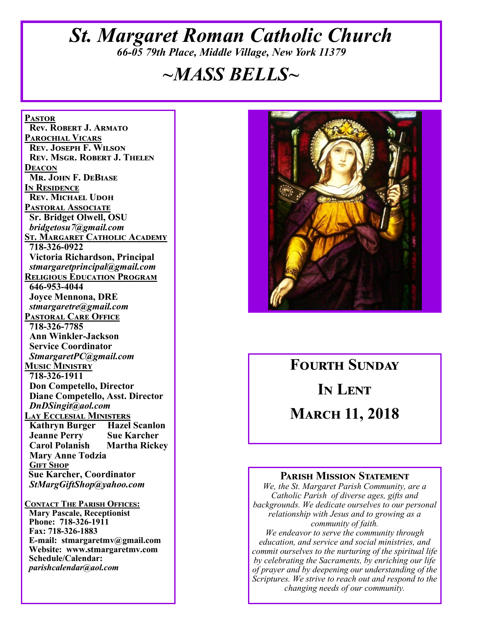## *St. Margaret Roman Catholic Church 66-05 79th Place, Middle Village, New York 11379*

# *~MASS BELLS~*

**Pastor Rev. Robert J. Armato Parochial Vicars Rev. Joseph F. Wilson Rev. Msgr. Robert J. Thelen Deacon Mr. John F. DeBiase In Residence Rev. Michael Udoh Pastoral Associate Sr. Bridget Olwell, OSU**  *bridgetosu7@gmail.com* **St. Margaret Catholic Academy 718-326-0922 Victoria Richardson, Principal**  *stmargaretprincipal@gmail.com* **Religious Education Program 646-953-4044 Joyce Mennona, DRE** *stmargaretre@gmail.com* **Pastoral Care Office 718-326-7785 Ann Winkler-Jackson Service Coordinator** *StmargaretPC@gmail.com* **Music Ministry 718-326-1911 Don Competello, Director Diane Competello, Asst. Director** *DnDSingit@aol.com* **Lay Ecclesial Ministers Kathryn Burger Hazel Scanlon Jeanne Perry Sue Karcher Martha Rickey Mary Anne Todzia Gift Shop Sue Karcher, Coordinator** *StMargGiftShop@yahoo.com*

**Contact The Parish Offices: Mary Pascale, Receptionist Phone: 718-326-1911 Fax: 718-326-1883 E-mail: stmargaretmv@gmail.com Website: www.stmargaretmv.com Schedule/Calendar:** *parishcalendar@aol.com* 



**Fourth Sunday In Lent March 11, 2018** 

#### **Parish Mission Statement**

*We, the St. Margaret Parish Community, are a Catholic Parish of diverse ages, gifts and backgrounds. We dedicate ourselves to our personal relationship with Jesus and to growing as a community of faith.*

*We endeavor to serve the community through education, and service and social ministries, and commit ourselves to the nurturing of the spiritual life by celebrating the Sacraments, by enriching our life of prayer and by deepening our understanding of the Scriptures. We strive to reach out and respond to the changing needs of our community.*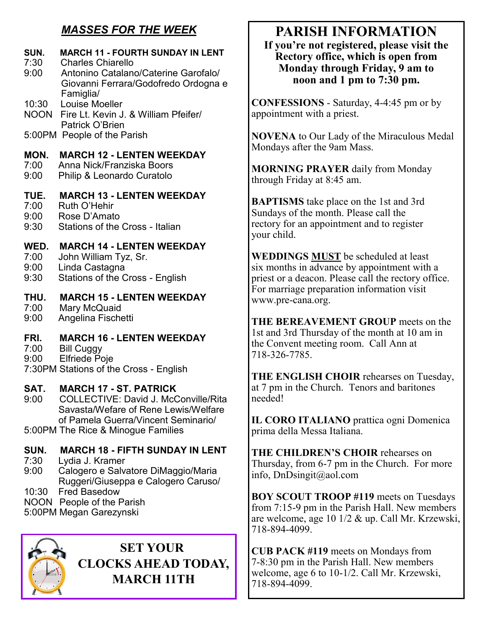## *MASSES FOR THE WEEK*

## **SUN. MARCH 11 - FOURTH SUNDAY IN LENT**

- 7:30 Charles Chiarello<br>9:00 Antonino Catalano
- Antonino Catalano/Caterine Garofalo/ Giovanni Ferrara/Godofredo Ordogna e Famiglia/
- 10:30 Louise Moeller
- NOON Fire Lt. Kevin J. & William Pfeifer/ Patrick O'Brien
- 5:00PM People of the Parish

## **MON. MARCH 12 - LENTEN WEEKDAY**

- 7:00 Anna Nick/Franziska Boors
- Philip & Leonardo Curatolo

## **TUE. MARCH 13 - LENTEN WEEKDAY**

- 7:00 Ruth O'Hehir
- 9:00 Rose D'Amato
- 9:30 Stations of the Cross Italian

## **WED. MARCH 14 - LENTEN WEEKDAY**

- 7:00 John William Tyz, Sr.
- 9:00 Linda Castagna
- 9:30 Stations of the Cross English

## **THU. MARCH 15 - LENTEN WEEKDAY**

- 7:00 Mary McQuaid
- 9:00 Angelina Fischetti

## **FRI. MARCH 16 - LENTEN WEEKDAY**

- 7:00 Bill Cuggy
- 9:00 Elfriede Poje

7:30PM Stations of the Cross - English

## **SAT. MARCH 17 - ST. PATRICK**

- 9:00 COLLECTIVE: David J. McConville/Rita Savasta/Wefare of Rene Lewis/Welfare of Pamela Guerra/Vincent Seminario/
- 5:00PM The Rice & Minogue Families

## **SUN. MARCH 18 - FIFTH SUNDAY IN LENT**

- 7:30 Lydia J. Kramer
- Calogero e Salvatore DiMaggio/Maria Ruggeri/Giuseppa e Calogero Caruso/
- 10:30 Fred Basedow
- NOON People of the Parish
- 5:00PM Megan Garezynski



**SET YOUR CLOCKS AHEAD TODAY, MARCH 11TH**

# **PARISH INFORMATION**

**If you're not registered, please visit the Rectory office, which is open from Monday through Friday, 9 am to noon and 1 pm to 7:30 pm.**

**CONFESSIONS** - Saturday, 4-4:45 pm or by appointment with a priest.

**NOVENA** to Our Lady of the Miraculous Medal Mondays after the 9am Mass.

**MORNING PRAYER** daily from Monday through Friday at 8:45 am.

**BAPTISMS** take place on the 1st and 3rd Sundays of the month. Please call the rectory for an appointment and to register your child.

**WEDDINGS MUST** be scheduled at least six months in advance by appointment with a priest or a deacon. Please call the rectory office. For marriage preparation information visit www.pre-cana.org.

**THE BEREAVEMENT GROUP** meets on the 1st and 3rd Thursday of the month at 10 am in the Convent meeting room. Call Ann at 718-326-7785.

**THE ENGLISH CHOIR** rehearses on Tuesday, at 7 pm in the Church. Tenors and baritones needed!

**IL CORO ITALIANO** prattica ogni Domenica prima della Messa Italiana.

**THE CHILDREN'S CHOIR** rehearses on Thursday, from 6-7 pm in the Church. For more info, DnDsingit@aol.com

**BOY SCOUT TROOP #119** meets on Tuesdays from 7:15-9 pm in the Parish Hall. New members are welcome, age 10 1/2 & up. Call Mr. Krzewski, 718-894-4099.

**CUB PACK #119** meets on Mondays from 7-8:30 pm in the Parish Hall. New members welcome, age 6 to 10-1/2. Call Mr. Krzewski, 718-894-4099.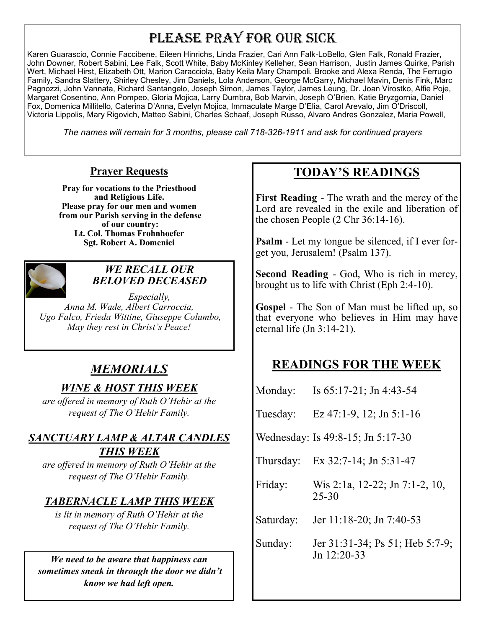## PLEASE PRAY FOR OUR SICK

Karen Guarascio, Connie Faccibene, Eileen Hinrichs, Linda Frazier, Cari Ann Falk-LoBello, Glen Falk, Ronald Frazier, John Downer, Robert Sabini, Lee Falk, Scott White, Baby McKinley Kelleher, Sean Harrison, Justin James Quirke, Parish Wert, Michael Hirst, Elizabeth Ott, Marion Caracciola, Baby Keila Mary Champoli, Brooke and Alexa Renda, The Ferrugio Family, Sandra Slattery, Shirley Chesley, Jim Daniels, Lola Anderson, George McGarry, Michael Mavin, Denis Fink, Marc Pagnozzi, John Vannata, Richard Santangelo, Joseph Simon, James Taylor, James Leung, Dr. Joan Virostko, Alfie Poje, Margaret Cosentino, Ann Pompeo, Gloria Mojica, Larry Dumbra, Bob Marvin, Joseph O'Brien, Katie Bryzgornia, Daniel Fox, Domenica Millitello, Caterina D'Anna, Evelyn Mojica, Immaculate Marge D'Elia, Carol Arevalo, Jim O'Driscoll, Victoria Lippolis, Mary Rigovich, Matteo Sabini, Charles Schaaf, Joseph Russo, Alvaro Andres Gonzalez, Maria Powell,

*The names will remain for 3 months, please call 718-326-1911 and ask for continued prayers*

#### **Prayer Requests**

**Pray for vocations to the Priesthood and Religious Life. Please pray for our men and women from our Parish serving in the defense of our country: Lt. Col. Thomas Frohnhoefer Sgt. Robert A. Domenici** 



#### *WE RECALL OUR BELOVED DECEASED*

*Especially, Anna M. Wade, Albert Carroccia, Ugo Falco, Frieda Wittine, Giuseppe Columbo, May they rest in Christ's Peace!*

## *MEMORIALS*

## *WINE & HOST THIS WEEK*

*are offered in memory of Ruth O'Hehir at the request of The O'Hehir Family.*

## *SANCTUARY LAMP & ALTAR CANDLES THIS WEEK*

*are offered in memory of Ruth O'Hehir at the request of The O'Hehir Family.*

## *TABERNACLE LAMP THIS WEEK*

*is lit in memory of Ruth O'Hehir at the request of The O'Hehir Family.*

*We need to be aware that happiness can sometimes sneak in through the door we didn't know we had left open.*

## **TODAY'S READINGS**

**First Reading** - The wrath and the mercy of the Lord are revealed in the exile and liberation of the chosen People (2 Chr 36:14-16).

**Psalm** - Let my tongue be silenced, if I ever forget you, Jerusalem! (Psalm 137).

**Second Reading** - God, Who is rich in mercy, brought us to life with Christ (Eph 2:4-10).

**Gospel** - The Son of Man must be lifted up, so that everyone who believes in Him may have eternal life (Jn 3:14-21).

## **READINGS FOR THE WEEK**

| Monday: | Is $65:17-21$ ; Jn 4:43-54 |
|---------|----------------------------|
|---------|----------------------------|

Tuesday: Ez 47:1-9, 12; Jn 5:1-16

Wednesday: Is 49:8-15; Jn 5:17-30

Thursday: Ex 32:7-14; Jn 5:31-47

Friday: Wis 2:1a, 12-22; Jn 7:1-2, 10, 25-30

Saturday: Jer 11:18-20; Jn 7:40-53

Sunday: Jer 31:31-34; Ps 51; Heb 5:7-9; Jn 12:20-33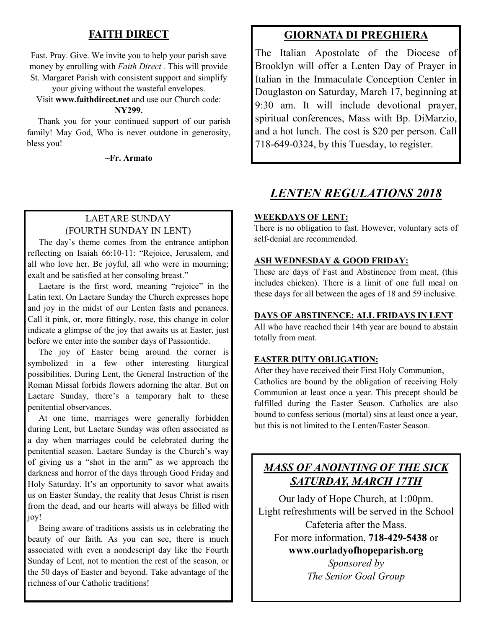#### **FAITH DIRECT**

Fast. Pray. Give. We invite you to help your parish save money by enrolling with *Faith Direct .* This will provide St. Margaret Parish with consistent support and simplify

your giving without the wasteful envelopes.

Visit **www.faithdirect.net** and use our Church code:

#### **NY299.**

 Thank you for your continued support of our parish family! May God, Who is never outdone in generosity, bless you!

**~Fr. Armato**

#### LAETARE SUNDAY (FOURTH SUNDAY IN LENT)

 The day's theme comes from the entrance antiphon reflecting on Isaiah 66:10-11: "Rejoice, Jerusalem, and all who love her. Be joyful, all who were in mourning; exalt and be satisfied at her consoling breast."

 Laetare is the first word, meaning "rejoice" in the Latin text. On Laetare Sunday the Church expresses hope and joy in the midst of our Lenten fasts and penances. Call it pink, or, more fittingly, rose, this change in color indicate a glimpse of the joy that awaits us at Easter, just before we enter into the somber days of Passiontide.

 The joy of Easter being around the corner is symbolized in a few other interesting liturgical possibilities. During Lent, the General Instruction of the Roman Missal forbids flowers adorning the altar. But on Laetare Sunday, there's a temporary halt to these penitential observances.

 At one time, marriages were generally forbidden during Lent, but Laetare Sunday was often associated as a day when marriages could be celebrated during the penitential season. Laetare Sunday is the Church's way of giving us a "shot in the arm" as we approach the darkness and horror of the days through Good Friday and Holy Saturday. It's an opportunity to savor what awaits us on Easter Sunday, the reality that Jesus Christ is risen from the dead, and our hearts will always be filled with joy!

 Being aware of traditions assists us in celebrating the beauty of our faith. As you can see, there is much associated with even a nondescript day like the Fourth Sunday of Lent, not to mention the rest of the season, or the 50 days of Easter and beyond. Take advantage of the richness of our Catholic traditions!

#### **GIORNATA DI PREGHIERA**

The Italian Apostolate of the Diocese of Brooklyn will offer a Lenten Day of Prayer in Italian in the Immaculate Conception Center in Douglaston on Saturday, March 17, beginning at 9:30 am. It will include devotional prayer, spiritual conferences, Mass with Bp. DiMarzio, and a hot lunch. The cost is \$20 per person. Call 718-649-0324, by this Tuesday, to register.

## *LENTEN REGULATIONS 2018*

#### **WEEKDAYS OF LENT:**

There is no obligation to fast. However, voluntary acts of self-denial are recommended.

#### **ASH WEDNESDAY & GOOD FRIDAY:**

These are days of Fast and Abstinence from meat, (this includes chicken). There is a limit of one full meal on these days for all between the ages of 18 and 59 inclusive.

#### **DAYS OF ABSTINENCE: ALL FRIDAYS IN LENT**

All who have reached their 14th year are bound to abstain totally from meat.

#### **EASTER DUTY OBLIGATION:**

After they have received their First Holy Communion, Catholics are bound by the obligation of receiving Holy Communion at least once a year. This precept should be fulfilled during the Easter Season. Catholics are also bound to confess serious (mortal) sins at least once a year, but this is not limited to the Lenten/Easter Season.

## *MASS OF ANOINTING OF THE SICK SATURDAY, MARCH 17TH*

Our lady of Hope Church, at 1:00pm. Light refreshments will be served in the School Cafeteria after the Mass. For more information, **718-429-5438** or **www.ourladyofhopeparish.org**

> *Sponsored by The Senior Goal Group*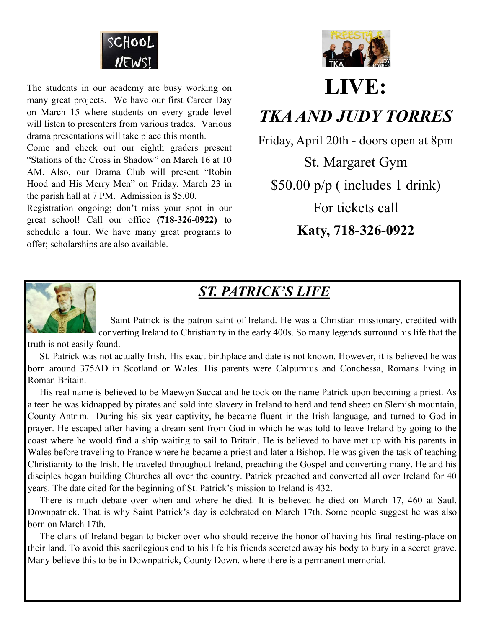

The students in our academy are busy working on many great projects. We have our first Career Day on March 15 where students on every grade level will listen to presenters from various trades. Various drama presentations will take place this month.

Come and check out our eighth graders present "Stations of the Cross in Shadow" on March 16 at 10 AM. Also, our Drama Club will present "Robin Hood and His Merry Men" on Friday, March 23 in the parish hall at 7 PM. Admission is \$5.00.

Registration ongoing; don't miss your spot in our great school! Call our office **(718-326-0922)** to schedule a tour. We have many great programs to offer; scholarships are also available.



# **LIVE:**

# *TKA AND JUDY TORRES*

Friday, April 20th - doors open at 8pm St. Margaret Gym \$50.00 p/p ( includes 1 drink) For tickets call **Katy, 718-326-0922**



# *ST. PATRICK'S LIFE*

 Saint Patrick is the patron saint of Ireland. He was a Christian missionary, credited with converting Ireland to Christianity in the early 400s. So many legends surround his life that the

truth is not easily found.

 St. Patrick was not actually Irish. His exact birthplace and date is not known. However, it is believed he was born around 375AD in Scotland or Wales. His parents were Calpurnius and Conchessa, Romans living in Roman Britain.

 His real name is believed to be Maewyn Succat and he took on the name Patrick upon becoming a priest. As a teen he was kidnapped by pirates and sold into slavery in Ireland to herd and tend sheep on Slemish mountain, County Antrim. During his six-year captivity, he became fluent in the Irish language, and turned to God in prayer. He escaped after having a dream sent from God in which he was told to leave Ireland by going to the coast where he would find a ship waiting to sail to Britain. He is believed to have met up with his parents in Wales before traveling to France where he became a priest and later a Bishop. He was given the task of teaching Christianity to the Irish. He traveled throughout Ireland, preaching the Gospel and converting many. He and his disciples began building Churches all over the country. Patrick preached and converted all over Ireland for 40 years. The date cited for the beginning of St. Patrick's mission to Ireland is 432.

 There is much debate over when and where he died. It is believed he died on March 17, 460 at Saul, Downpatrick. That is why Saint Patrick's day is celebrated on March 17th. Some people suggest he was also born on March 17th.

 The clans of Ireland began to bicker over who should receive the honor of having his final resting-place on their land. To avoid this sacrilegious end to his life his friends secreted away his body to bury in a secret grave. Many believe this to be in Downpatrick, County Down, where there is a permanent memorial.